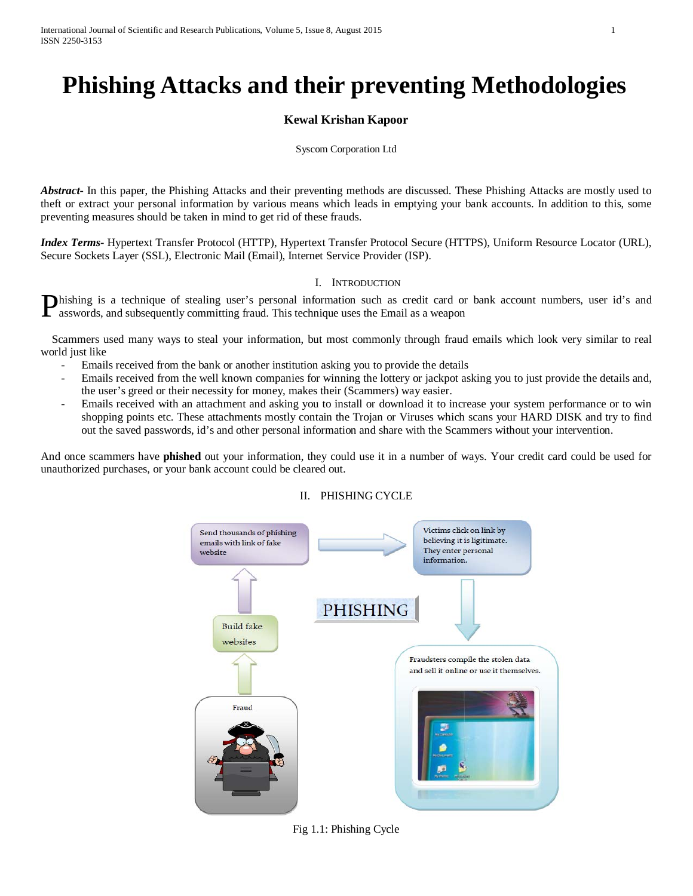# **Phishing Attacks and their preventing Methodologies**

## **Kewal Krishan Kapoor**

#### Syscom Corporation Ltd

*Abstract***-** In this paper, the Phishing Attacks and their preventing methods are discussed. These Phishing Attacks are mostly used to theft or extract your personal information by various means which leads in emptying your bank accounts. In addition to this, some preventing measures should be taken in mind to get rid of these frauds.

*Index Terms***-** Hypertext Transfer Protocol (HTTP), Hypertext Transfer Protocol Secure (HTTPS), Uniform Resource Locator (URL), Secure Sockets Layer (SSL), Electronic Mail (Email), Internet Service Provider (ISP).

#### I. INTRODUCTION

hishing is a technique of stealing user's personal information such as credit card or bank account numbers, user id's and **Phishing** is a technique of stealing user's personal information such as credit card or asswords, and subsequently committing fraud. This technique uses the Email as a weapon

 Scammers used many ways to steal your information, but most commonly through fraud emails which look very similar to real world just like

- Emails received from the bank or another institution asking you to provide the details
- Emails received from the well known companies for winning the lottery or jackpot asking you to just provide the details and, the user's greed or their necessity for money, makes their (Scammers) way easier.
- Emails received with an attachment and asking you to install or download it to increase your system performance or to win shopping points etc. These attachments mostly contain the Trojan or Viruses which scans your HARD DISK and try to find out the saved passwords, id's and other personal information and share with the Scammers without your intervention.

And once scammers have **phished** out your information, they could use it in a number of ways. Your credit card could be used for unauthorized purchases, or your bank account could be cleared out.

#### II. PHISHING CYCLE



Fig 1.1: Phishing Cycle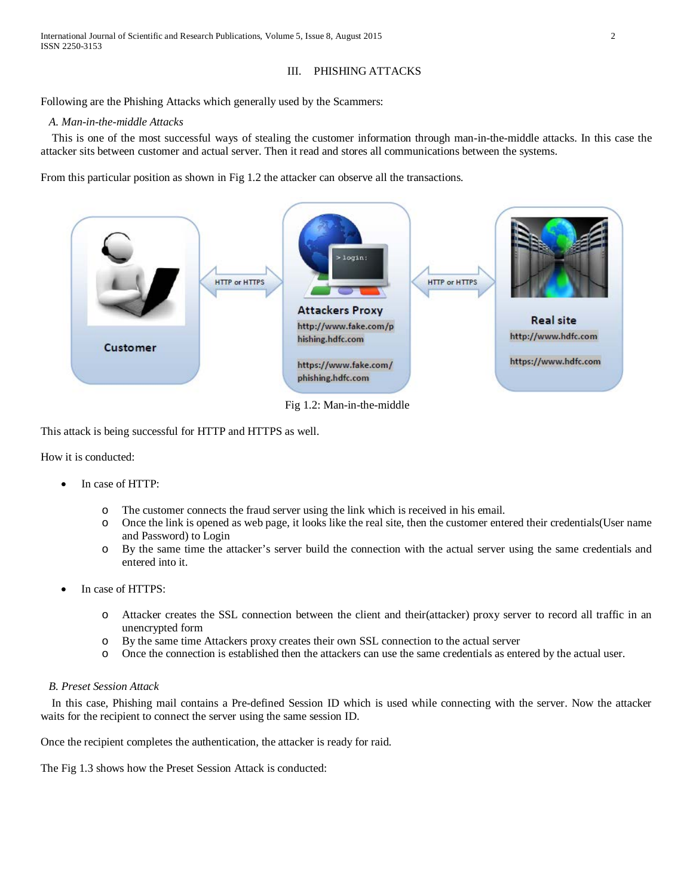## III. PHISHING ATTACKS

Following are the Phishing Attacks which generally used by the Scammers:

#### *A. Man-in-the-middle Attacks*

 This is one of the most successful ways of stealing the customer information through man-in-the-middle attacks. In this case the attacker sits between customer and actual server. Then it read and stores all communications between the systems.

From this particular position as shown in Fig 1.2 the attacker can observe all the transactions.



Fig 1.2: Man-in-the-middle

This attack is being successful for HTTP and HTTPS as well.

How it is conducted:

- In case of HTTP:
	- o The customer connects the fraud server using the link which is received in his email.
	- o Once the link is opened as web page, it looks like the real site, then the customer entered their credentials(User name and Password) to Login
	- o By the same time the attacker's server build the connection with the actual server using the same credentials and entered into it.
- In case of HTTPS:
	- o Attacker creates the SSL connection between the client and their(attacker) proxy server to record all traffic in an unencrypted form
	- $\circ$  By the same time Attackers proxy creates their own SSL connection to the actual server  $\circ$  Once the connection is established then the attackers can use the same credentials as enter-
	- Once the connection is established then the attackers can use the same credentials as entered by the actual user.

## *B. Preset Session Attack*

 In this case, Phishing mail contains a Pre-defined Session ID which is used while connecting with the server. Now the attacker waits for the recipient to connect the server using the same session ID.

Once the recipient completes the authentication, the attacker is ready for raid.

The Fig 1.3 shows how the Preset Session Attack is conducted: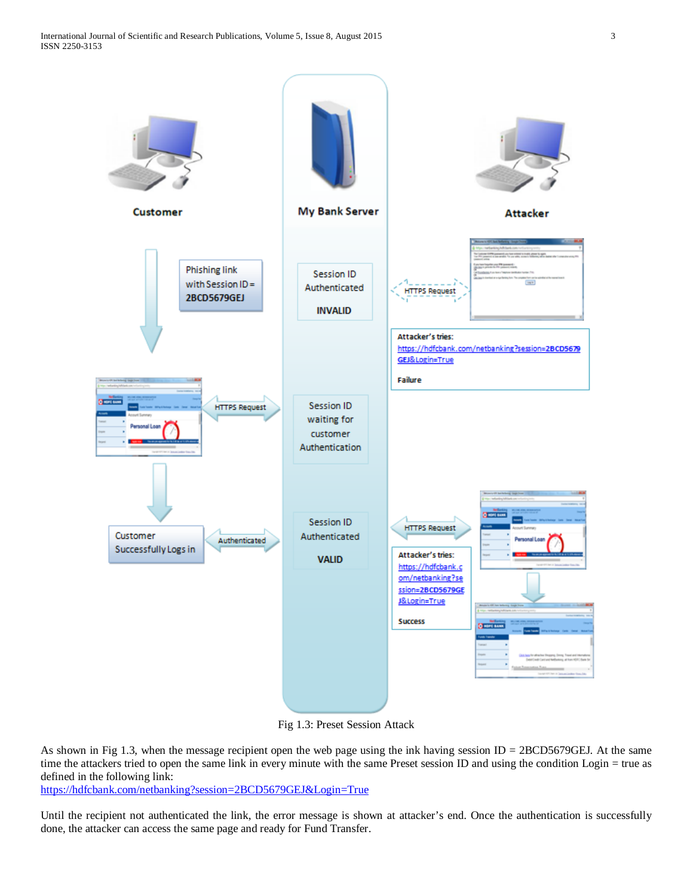

Fig 1.3: Preset Session Attack

As shown in Fig 1.3, when the message recipient open the web page using the ink having session  $ID = 2BCD5679GEJ$ . At the same time the attackers tried to open the same link in every minute with the same Preset session ID and using the condition Login = true as defined in the following link:

<https://hdfcbank.com/netbanking?session=2BCD5679GEJ&Login=True>

Until the recipient not authenticated the link, the error message is shown at attacker's end. Once the authentication is successfully done, the attacker can access the same page and ready for Fund Transfer.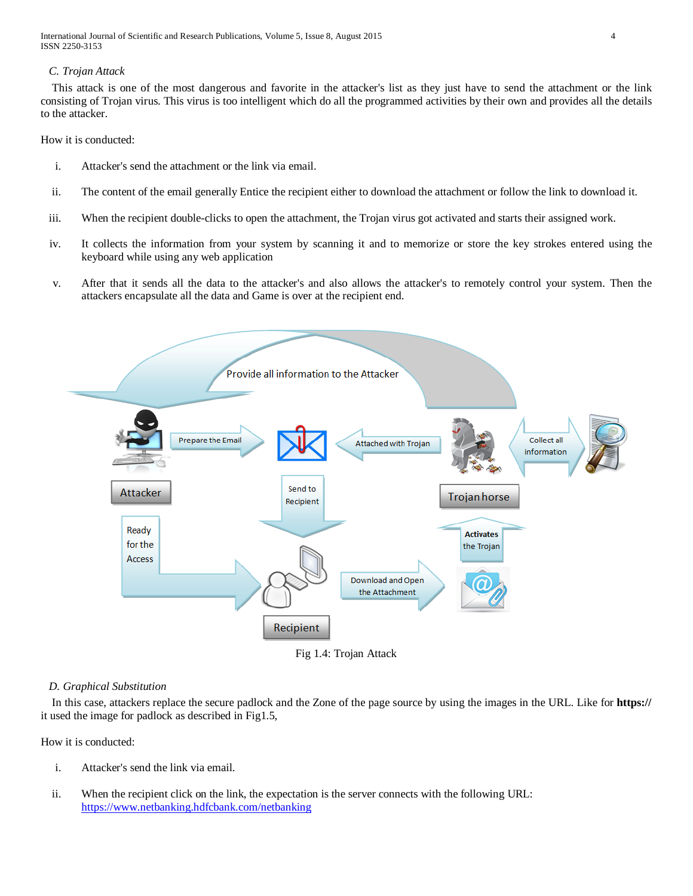International Journal of Scientific and Research Publications, Volume 5, Issue 8, August 2015 4 ISSN 2250-3153

## *C. Trojan Attack*

 This attack is one of the most dangerous and favorite in the attacker's list as they just have to send the attachment or the link consisting of Trojan virus. This virus is too intelligent which do all the programmed activities by their own and provides all the details to the attacker.

How it is conducted:

- i. Attacker's send the attachment or the link via email.
- ii. The content of the email generally Entice the recipient either to download the attachment or follow the link to download it.
- iii. When the recipient double-clicks to open the attachment, the Trojan virus got activated and starts their assigned work.
- iv. It collects the information from your system by scanning it and to memorize or store the key strokes entered using the keyboard while using any web application
- v. After that it sends all the data to the attacker's and also allows the attacker's to remotely control your system. Then the attackers encapsulate all the data and Game is over at the recipient end.



Fig 1.4: Trojan Attack

#### *D. Graphical Substitution*

 In this case, attackers replace the secure padlock and the Zone of the page source by using the images in the URL. Like for **https://** it used the image for padlock as described in Fig1.5,

How it is conducted:

- i. Attacker's send the link via email.
- ii. When the recipient click on the link, the expectation is the server connects with the following URL: <https://www.netbanking.hdfcbank.com/netbanking>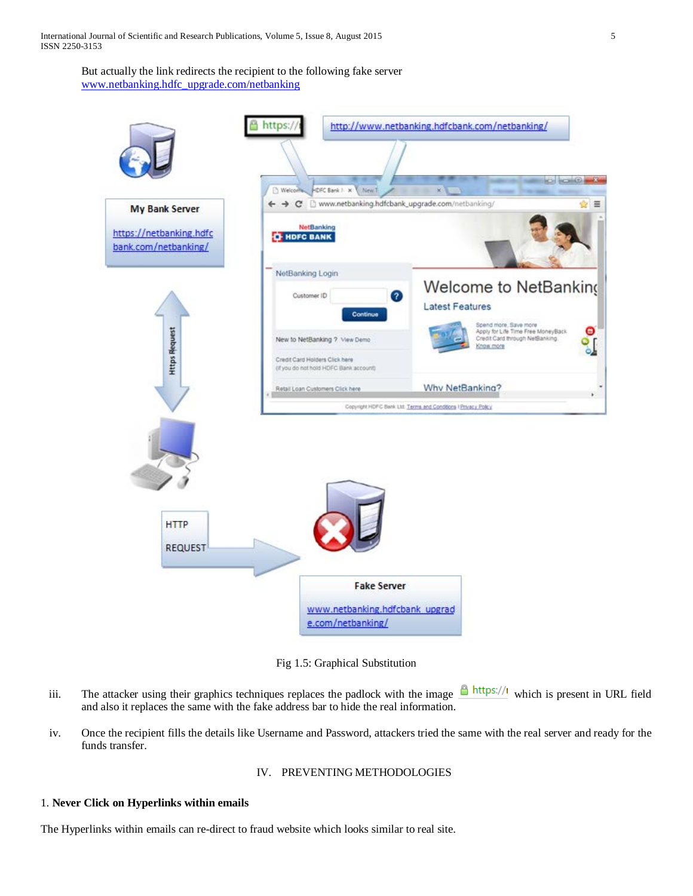But actually the link redirects the recipient to the following fake server [www.netbanking.hdfc\\_upgrade.com/netbanking](http://www.netbanking.hdfc_upgrade.com/netbanking)



Fig 1.5: Graphical Substitution

- iii. The attacker using their graphics techniques replaces the padlock with the image  $\Box$  https://l which is present in URL field and also it replaces the same with the fake address bar to hide the real information.
- iv. Once the recipient fills the details like Username and Password, attackers tried the same with the real server and ready for the funds transfer.

IV. PREVENTING METHODOLOGIES

## 1. **Never Click on Hyperlinks within emails**

The Hyperlinks within emails can re-direct to fraud website which looks similar to real site.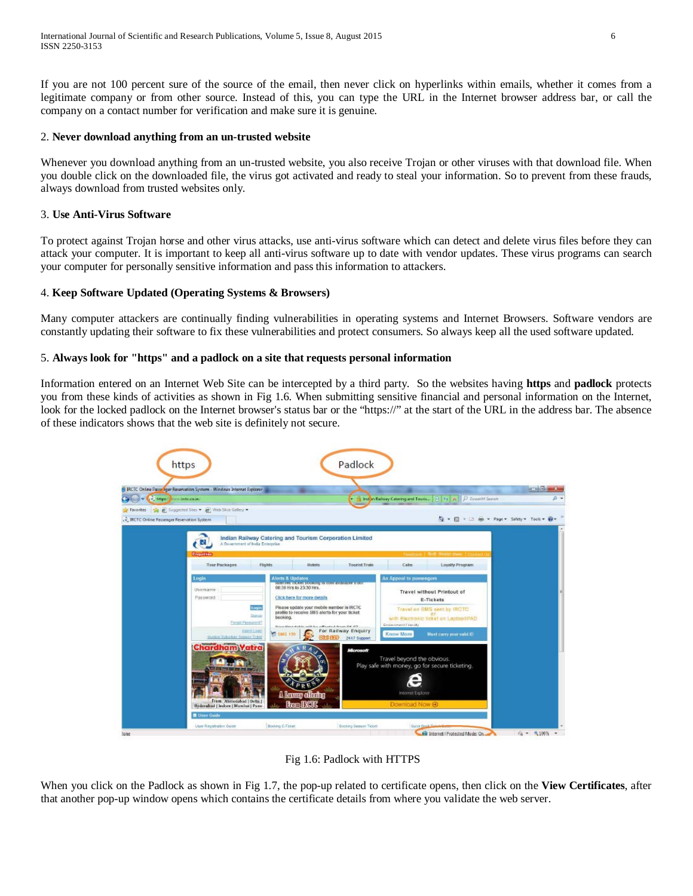If you are not 100 percent sure of the source of the email, then never click on hyperlinks within emails, whether it comes from a legitimate company or from other source. Instead of this, you can type the URL in the Internet browser address bar, or call the company on a contact number for verification and make sure it is genuine.

## 2. **Never download anything from an un-trusted website**

Whenever you download anything from an un-trusted website, you also receive Trojan or other viruses with that download file. When you double click on the downloaded file, the virus got activated and ready to steal your information. So to prevent from these frauds, always download from trusted websites only.

## 3. **Use Anti-Virus Software**

To protect against Trojan horse and other virus attacks, use anti-virus software which can detect and delete virus files before they can attack your computer. It is important to keep all anti-virus software up to date with vendor updates. These virus programs can search your computer for personally sensitive information and pass this information to attackers.

## 4. **Keep Software Updated (Operating Systems & Browsers)**

Many computer attackers are continually finding vulnerabilities in operating systems and Internet Browsers. Software vendors are constantly updating their software to fix these vulnerabilities and protect consumers. So always keep all the used software updated.

#### 5. **Always look for "https" and a padlock on a site that requests personal information**

Information entered on an Internet Web Site can be intercepted by a third party. So the websites having **https** and **padlock** protects you from these kinds of activities as shown in Fig 1.6. When submitting sensitive financial and personal information on the Internet, look for the locked padlock on the Internet browser's status bar or the "https://" at the start of the URL in the address bar. The absence of these indicators shows that the web site is definitely not secure.



Fig 1.6: Padlock with HTTPS

When you click on the Padlock as shown in Fig 1.7, the pop-up related to certificate opens, then click on the **View Certificates**, after that another pop-up window opens which contains the certificate details from where you validate the web server.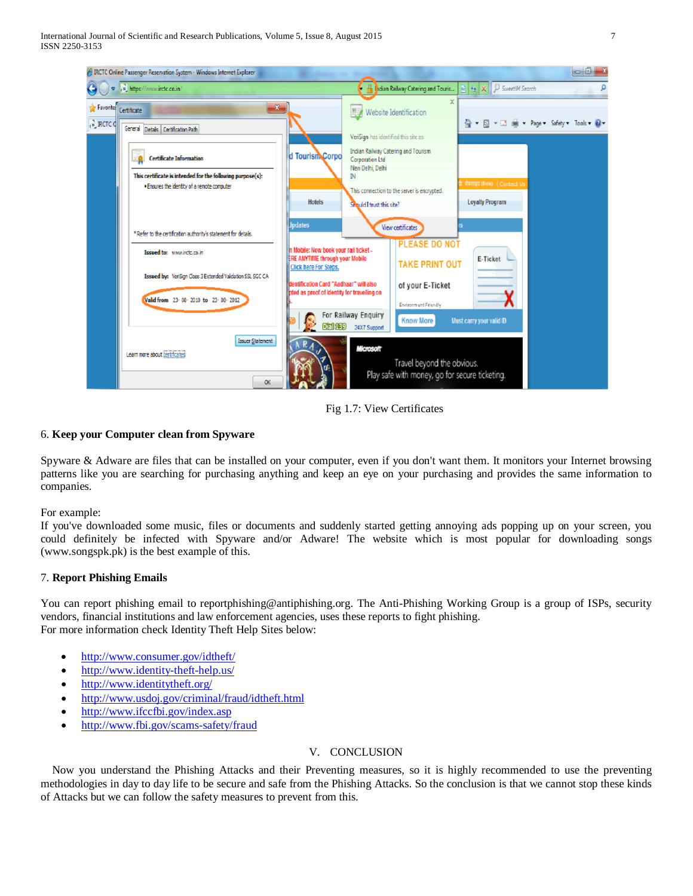

Fig 1.7: View Certificates

## 6. **Keep your Computer clean from Spyware**

Spyware & Adware are files that can be installed on your computer, even if you don't want them. It monitors your Internet browsing patterns like you are searching for purchasing anything and keep an eye on your purchasing and provides the same information to companies.

For example:

If you've downloaded some music, files or documents and suddenly started getting annoying ads popping up on your screen, you could definitely be infected with Spyware and/or Adware! The website which is most popular for downloading songs (www.songspk.pk) is the best example of this.

## 7. **Report Phishing Emails**

You can report phishing email to reportphishing@antiphishing.org. The Anti-Phishing Working Group is a group of ISPs, security vendors, financial institutions and law enforcement agencies, uses these reports to fight phishing. For more information check Identity Theft Help Sites below:

- <http://www.consumer.gov/idtheft/>
- <http://www.identity-theft-help.us/>
- <http://www.identitytheft.org/>
- <http://www.usdoj.gov/criminal/fraud/idtheft.html>
- <http://www.ifccfbi.gov/index.asp>
- <http://www.fbi.gov/scams-safety/fraud>

## V. CONCLUSION

Now you understand the Phishing Attacks and their Preventing measures, so it is highly recommended to use the preventing methodologies in day to day life to be secure and safe from the Phishing Attacks. So the conclusion is that we cannot stop these kinds of Attacks but we can follow the safety measures to prevent from this.